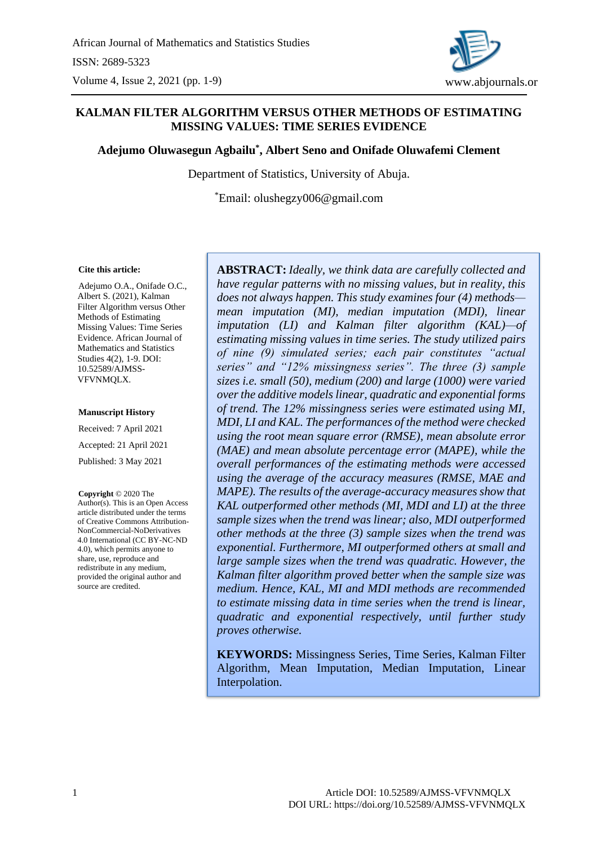

# **KALMAN FILTER ALGORITHM VERSUS OTHER METHODS OF ESTIMATING MISSING VALUES: TIME SERIES EVIDENCE**

### **Adejumo Oluwasegun Agbailu\* , Albert Seno and Onifade Oluwafemi Clement**

Department of Statistics, University of Abuja.

\*Email: olushegzy006@gmail.com

#### **Cite this article:**

Adejumo O.A., Onifade O.C., Albert S. (2021), Kalman Filter Algorithm versus Other Methods of Estimating Missing Values: Time Series Evidence. African Journal of Mathematics and Statistics Studies 4(2), 1-9. DOI: 10.52589/AJMSS-VFVNMQLX.

#### **Manuscript History**

Received: 7 April 2021 Accepted: 21 April 2021 Published: 3 May 2021

**Copyright** © 2020 The Author(s). This is an Open Access article distributed under the terms of Creative Commons Attribution-NonCommercial-NoDerivatives 4.0 International (CC BY-NC-ND 4.0), which permits anyone to share, use, reproduce and redistribute in any medium, provided the original author and source are credited.

**ABSTRACT:** *Ideally, we think data are carefully collected and have regular patterns with no missing values, but in reality, this does not always happen. This study examines four (4) methods mean imputation (MI), median imputation (MDI), linear imputation (LI) and Kalman filter algorithm (KAL)—of estimating missing values in time series. The study utilized pairs of nine (9) simulated series; each pair constitutes "actual series" and "12% missingness series". The three (3) sample sizes i.e. small (50), medium (200) and large (1000) were varied over the additive models linear, quadratic and exponential forms of trend. The 12% missingness series were estimated using MI, MDI, LI and KAL. The performances of the method were checked using the root mean square error (RMSE), mean absolute error (MAE) and mean absolute percentage error (MAPE), while the overall performances of the estimating methods were accessed using the average of the accuracy measures (RMSE, MAE and MAPE). The results of the average-accuracy measures show that KAL outperformed other methods (MI, MDI and LI) at the three sample sizes when the trend was linear; also, MDI outperformed other methods at the three (3) sample sizes when the trend was exponential. Furthermore, MI outperformed others at small and large sample sizes when the trend was quadratic. However, the Kalman filter algorithm proved better when the sample size was medium. Hence, KAL, MI and MDI methods are recommended to estimate missing data in time series when the trend is linear, quadratic and exponential respectively, until further study proves otherwise.* 

**KEYWORDS:** Missingness Series, Time Series, Kalman Filter Algorithm, Mean Imputation, Median Imputation, Linear Interpolation.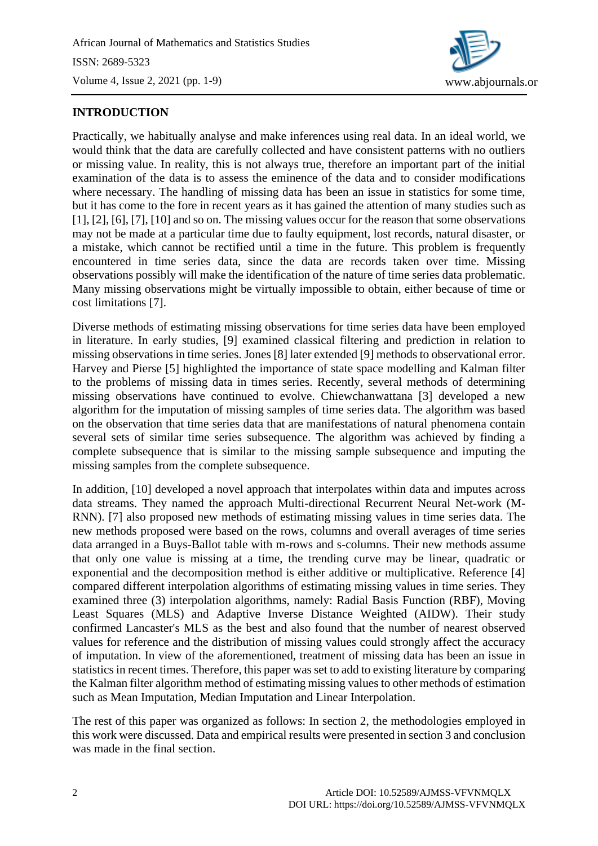

# **INTRODUCTION**

Practically, we habitually analyse and make inferences using real data. In an ideal world, we would think that the data are carefully collected and have consistent patterns with no outliers or missing value. In reality, this is not always true, therefore an important part of the initial examination of the data is to assess the eminence of the data and to consider modifications where necessary. The handling of missing data has been an issue in statistics for some time, but it has come to the fore in recent years as it has gained the attention of many studies such as [1], [2], [6], [7], [10] and so on. The missing values occur for the reason that some observations may not be made at a particular time due to faulty equipment, lost records, natural disaster, or a mistake, which cannot be rectified until a time in the future. This problem is frequently encountered in time series data, since the data are records taken over time. Missing observations possibly will make the identification of the nature of time series data problematic. Many missing observations might be virtually impossible to obtain, either because of time or cost limitations [7].

Diverse methods of estimating missing observations for time series data have been employed in literature. In early studies, [9] examined classical filtering and prediction in relation to missing observations in time series. Jones [8] later extended [9] methods to observational error. Harvey and Pierse [5] highlighted the importance of state space modelling and Kalman filter to the problems of missing data in times series. Recently, several methods of determining missing observations have continued to evolve. Chiewchanwattana [3] developed a new algorithm for the imputation of missing samples of time series data. The algorithm was based on the observation that time series data that are manifestations of natural phenomena contain several sets of similar time series subsequence. The algorithm was achieved by finding a complete subsequence that is similar to the missing sample subsequence and imputing the missing samples from the complete subsequence.

In addition, [10] developed a novel approach that interpolates within data and imputes across data streams. They named the approach Multi-directional Recurrent Neural Net-work (M-RNN). [7] also proposed new methods of estimating missing values in time series data. The new methods proposed were based on the rows, columns and overall averages of time series data arranged in a Buys-Ballot table with m-rows and s-columns. Their new methods assume that only one value is missing at a time, the trending curve may be linear, quadratic or exponential and the decomposition method is either additive or multiplicative. Reference [4] compared different interpolation algorithms of estimating missing values in time series. They examined three (3) interpolation algorithms, namely: Radial Basis Function (RBF), Moving Least Squares (MLS) and Adaptive Inverse Distance Weighted (AIDW). Their study confirmed Lancaster's MLS as the best and also found that the number of nearest observed values for reference and the distribution of missing values could strongly affect the accuracy of imputation. In view of the aforementioned, treatment of missing data has been an issue in statistics in recent times. Therefore, this paper was set to add to existing literature by comparing the Kalman filter algorithm method of estimating missing values to other methods of estimation such as Mean Imputation, Median Imputation and Linear Interpolation.

The rest of this paper was organized as follows: In section 2, the methodologies employed in this work were discussed. Data and empirical results were presented in section 3 and conclusion was made in the final section.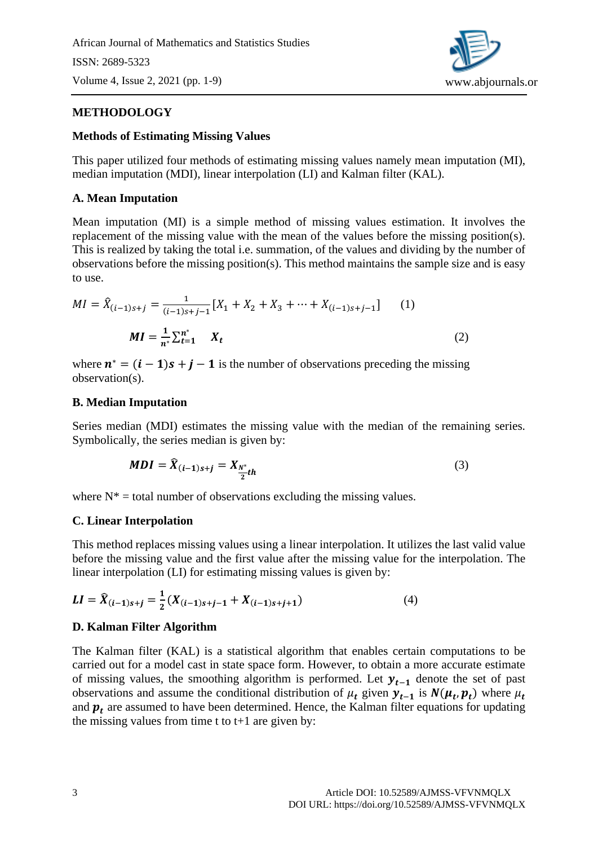African Journal of Mathematics and Statistics Studies ISSN: 2689-5323 Volume 4, Issue 2, 2021 (pp. 1-9)



# **METHODOLOGY**

### **Methods of Estimating Missing Values**

This paper utilized four methods of estimating missing values namely mean imputation (MI), median imputation (MDI), linear interpolation (LI) and Kalman filter (KAL).

### **A. Mean Imputation**

Mean imputation (MI) is a simple method of missing values estimation. It involves the replacement of the missing value with the mean of the values before the missing position(s). This is realized by taking the total i.e. summation, of the values and dividing by the number of observations before the missing position(s). This method maintains the sample size and is easy to use.

$$
MI = \hat{X}_{(i-1)s+j} = \frac{1}{(i-1)s+j-1} [X_1 + X_2 + X_3 + \dots + X_{(i-1)s+j-1}] \tag{1}
$$
  

$$
MI = \frac{1}{n^*} \sum_{t=1}^{n^*} X_t \tag{2}
$$

where  $\mathbf{n}^* = (\mathbf{i} - \mathbf{1})\mathbf{s} + \mathbf{j} - \mathbf{1}$  is the number of observations preceding the missing observation(s).

### **B. Median Imputation**

Series median (MDI) estimates the missing value with the median of the remaining series. Symbolically, the series median is given by:

$$
MDI = \widehat{X}_{(i-1)s+j} = X_{\frac{N^*}{2}th}
$$
\n<sup>(3)</sup>

where  $N^*$  = total number of observations excluding the missing values.

#### **C. Linear Interpolation**

This method replaces missing values using a linear interpolation. It utilizes the last valid value before the missing value and the first value after the missing value for the interpolation. The linear interpolation (LI) for estimating missing values is given by:

$$
LI = \widehat{X}_{(i-1)s+j} = \frac{1}{2}(X_{(i-1)s+j-1} + X_{(i-1)s+j+1})
$$
\n(4)

## **D. Kalman Filter Algorithm**

The Kalman filter (KAL) is a statistical algorithm that enables certain computations to be carried out for a model cast in state space form. However, to obtain a more accurate estimate of missing values, the smoothing algorithm is performed. Let  $y_{t-1}$  denote the set of past observations and assume the conditional distribution of  $\mu_t$  given  $y_{t-1}$  is  $N(\mu_t, p_t)$  where  $\mu_t$ and  $\mathbf{p}_t$  are assumed to have been determined. Hence, the Kalman filter equations for updating the missing values from time t to  $t+1$  are given by: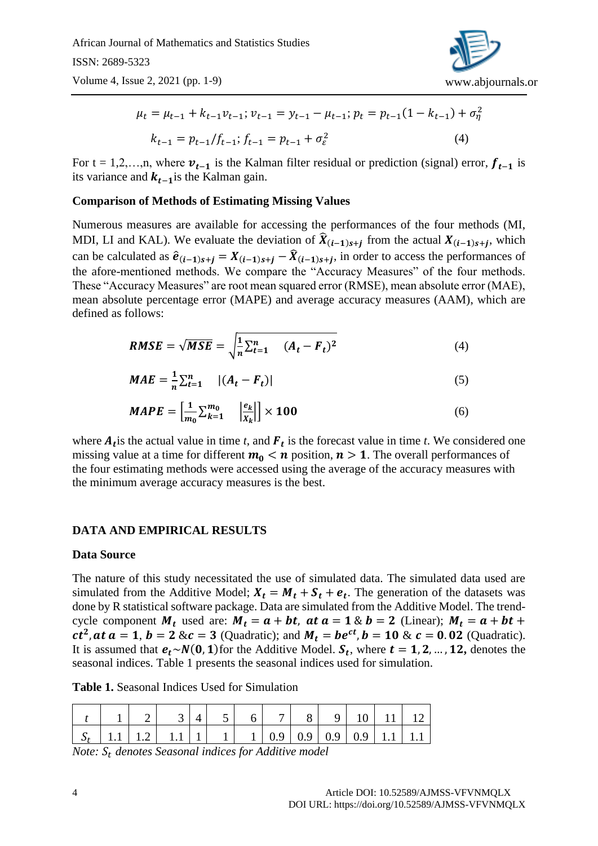African Journal of Mathematics and Statistics Studies ISSN: 2689-5323

Volume 4, Issue 2, 2021 (pp. 1-9)



$$
\mu_t = \mu_{t-1} + k_{t-1} v_{t-1}; \, v_{t-1} = y_{t-1} - \mu_{t-1}; \, p_t = p_{t-1} (1 - k_{t-1}) + \sigma_\eta^2
$$
\n
$$
k_{t-1} = p_{t-1} / f_{t-1}; \, f_{t-1} = p_{t-1} + \sigma_\varepsilon^2 \tag{4}
$$

For t = 1,2,…,n, where  $v_{t-1}$  is the Kalman filter residual or prediction (signal) error,  $f_{t-1}$  is its variance and  $k_{t-1}$  is the Kalman gain.

### **Comparison of Methods of Estimating Missing Values**

Numerous measures are available for accessing the performances of the four methods (MI, MDI, LI and KAL). We evaluate the deviation of  $\hat{X}_{(i-1)s+j}$  from the actual  $X_{(i-1)s+j}$ , which can be calculated as  $\hat{e}_{(i-1)s+j} = X_{(i-1)s+j} - \hat{X}_{(i-1)s+j}$ , in order to access the performances of the afore-mentioned methods. We compare the "Accuracy Measures" of the four methods. These "Accuracy Measures" are root mean squared error (RMSE), mean absolute error (MAE), mean absolute percentage error (MAPE) and average accuracy measures (AAM), which are defined as follows:

$$
RMSE = \sqrt{MSE} = \sqrt{\frac{1}{n} \sum_{t=1}^{n} (A_t - F_t)^2}
$$
(4)

$$
MAE = \frac{1}{n} \sum_{t=1}^{n} |(A_t - F_t)|
$$
 (5)

$$
MAPE = \left[\frac{1}{m_0} \sum_{k=1}^{m_0} \quad \left|\frac{e_k}{X_k}\right|\right] \times 100\tag{6}
$$

where  $A_t$  is the actual value in time *t*, and  $F_t$  is the forecast value in time *t*. We considered one missing value at a time for different  $m_0 < n$  position,  $n > 1$ . The overall performances of the four estimating methods were accessed using the average of the accuracy measures with the minimum average accuracy measures is the best.

## **DATA AND EMPIRICAL RESULTS**

#### **Data Source**

The nature of this study necessitated the use of simulated data. The simulated data used are simulated from the Additive Model;  $X_t = M_t + S_t + e_t$ . The generation of the datasets was done by R statistical software package. Data are simulated from the Additive Model. The trendcycle component  $M_t$  used are:  $M_t = a + bt$ , at  $a = 1 \& b = 2$  (Linear);  $M_t = a + bt +$ *ct*<sup>2</sup>, *at*  $a = 1$ ,  $b = 2$  &  $c = 3$  (Quadratic); and  $M_t = be^{ct}$ ,  $b = 10$  &  $c = 0.02$  (Quadratic). It is assumed that  $e_t \sim N(0, 1)$  for the Additive Model.  $S_t$ , where  $t = 1, 2, ..., 12$ , denotes the seasonal indices. Table 1 presents the seasonal indices used for simulation.

**Table 1.** Seasonal Indices Used for Simulation

|  |                                                                         |  |  | 8 <sup>1</sup> | $9 \mid 10 \mid$ |  |
|--|-------------------------------------------------------------------------|--|--|----------------|------------------|--|
|  | $S_t$   1.1   1.2   1.1   1   1   1   0.9   0.9   0.9   0.9   1.1   1.1 |  |  |                |                  |  |

*Note: denotes Seasonal indices for Additive model*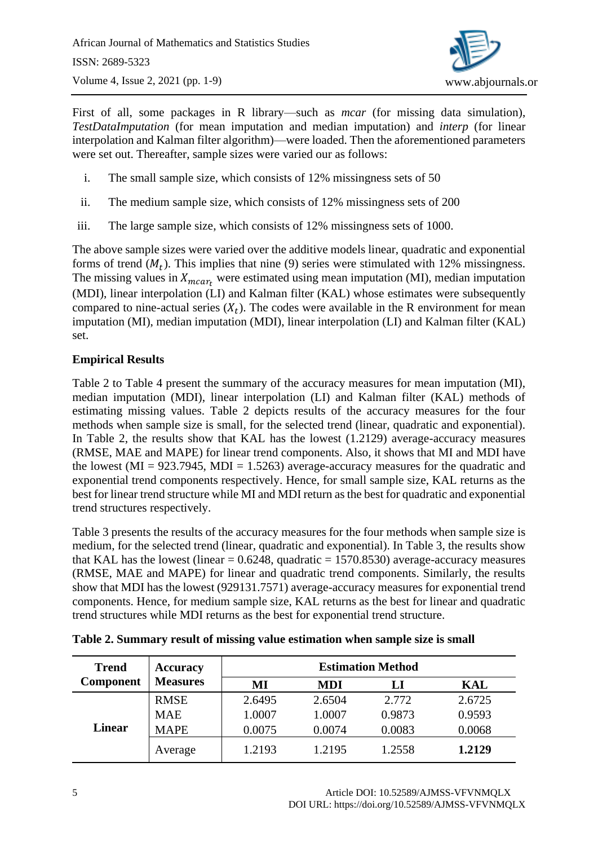

First of all, some packages in R library—such as *mcar* (for missing data simulation), *TestDataImputation* (for mean imputation and median imputation) and *interp* (for linear interpolation and Kalman filter algorithm)—were loaded. Then the aforementioned parameters were set out. Thereafter, sample sizes were varied our as follows:

- i. The small sample size, which consists of 12% missingness sets of 50
- ii. The medium sample size, which consists of 12% missingness sets of 200
- iii. The large sample size, which consists of 12% missingness sets of 1000.

The above sample sizes were varied over the additive models linear, quadratic and exponential forms of trend  $(M_t)$ . This implies that nine (9) series were stimulated with 12% missingness. The missing values in  $X_{mear}$ , were estimated using mean imputation (MI), median imputation (MDI), linear interpolation (LI) and Kalman filter (KAL) whose estimates were subsequently compared to nine-actual series  $(X_t)$ . The codes were available in the R environment for mean imputation (MI), median imputation (MDI), linear interpolation (LI) and Kalman filter (KAL) set.

# **Empirical Results**

Table 2 to Table 4 present the summary of the accuracy measures for mean imputation (MI), median imputation (MDI), linear interpolation (LI) and Kalman filter (KAL) methods of estimating missing values. Table 2 depicts results of the accuracy measures for the four methods when sample size is small, for the selected trend (linear, quadratic and exponential). In Table 2, the results show that KAL has the lowest (1.2129) average-accuracy measures (RMSE, MAE and MAPE) for linear trend components. Also, it shows that MI and MDI have the lowest ( $MI = 923.7945$ ,  $MDI = 1.5263$ ) average-accuracy measures for the quadratic and exponential trend components respectively. Hence, for small sample size, KAL returns as the best for linear trend structure while MI and MDI return as the best for quadratic and exponential trend structures respectively.

Table 3 presents the results of the accuracy measures for the four methods when sample size is medium, for the selected trend (linear, quadratic and exponential). In Table 3, the results show that KAL has the lowest (linear  $= 0.6248$ , quadratic  $= 1570.8530$ ) average-accuracy measures (RMSE, MAE and MAPE) for linear and quadratic trend components. Similarly, the results show that MDI has the lowest (929131.7571) average-accuracy measures for exponential trend components. Hence, for medium sample size, KAL returns as the best for linear and quadratic trend structures while MDI returns as the best for exponential trend structure.

| <b>Trend</b>     | <b>Accuracy</b> |        |            |        |        |
|------------------|-----------------|--------|------------|--------|--------|
| <b>Component</b> | <b>Measures</b> | MI     | <b>MDI</b> | LI     | KAL    |
|                  | <b>RMSE</b>     | 2.6495 | 2.6504     | 2.772  | 2.6725 |
|                  | <b>MAE</b>      | 1.0007 | 1.0007     | 0.9873 | 0.9593 |
| <b>Linear</b>    | <b>MAPE</b>     | 0.0075 | 0.0074     | 0.0083 | 0.0068 |
|                  | Average         | 1.2193 | 1.2195     | 1.2558 | 1.2129 |

**Table 2. Summary result of missing value estimation when sample size is small**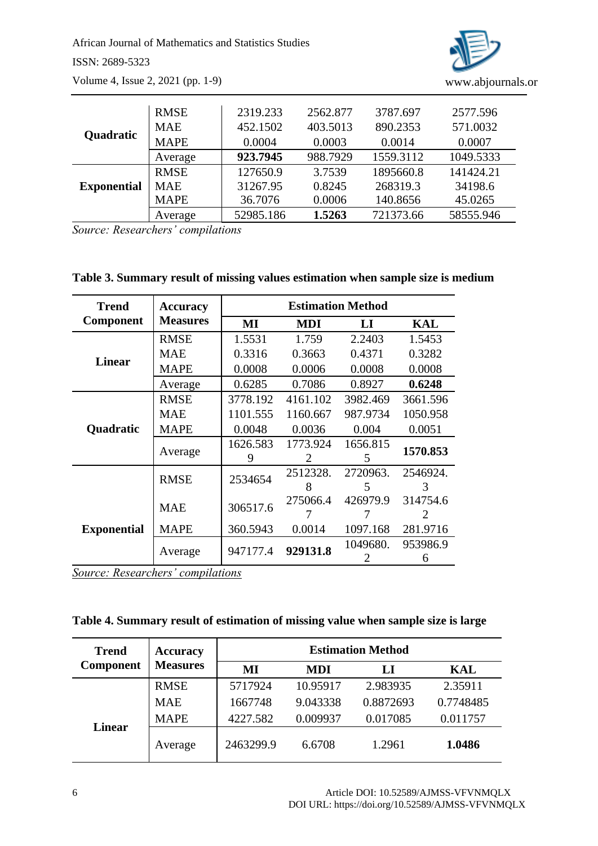African Journal of Mathematics and Statistics Studies ISSN: 2689-5323 Volume 4, Issue 2, 2021 (pp. 1-9)



|                    | <b>RMSE</b> | 2319.233  | 2562.877 | 3787.697  | 2577.596  |
|--------------------|-------------|-----------|----------|-----------|-----------|
|                    | <b>MAE</b>  | 452.1502  | 403.5013 | 890.2353  | 571.0032  |
| Quadratic          | <b>MAPE</b> | 0.0004    | 0.0003   | 0.0014    | 0.0007    |
|                    | Average     | 923.7945  | 988.7929 | 1559.3112 | 1049.5333 |
|                    | <b>RMSE</b> | 127650.9  | 3.7539   | 1895660.8 | 141424.21 |
| <b>Exponential</b> | <b>MAE</b>  | 31267.95  | 0.8245   | 268319.3  | 34198.6   |
|                    | <b>MAPE</b> | 36.7076   | 0.0006   | 140.8656  | 45.0265   |
|                    | Average     | 52985.186 | 1.5263   | 721373.66 | 58555.946 |

*Source: Researchers' compilations*

**Table 3. Summary result of missing values estimation when sample size is medium**

| <b>Trend</b>       | <b>Accuracy</b> | <b>Estimation Method</b> |            |                |               |  |  |
|--------------------|-----------------|--------------------------|------------|----------------|---------------|--|--|
| <b>Component</b>   | <b>Measures</b> | MI                       | <b>MDI</b> | $\bf{L}\bf{I}$ | KAL           |  |  |
|                    | <b>RMSE</b>     | 1.5531                   | 1.759      | 2.2403         | 1.5453        |  |  |
| <b>Linear</b>      | <b>MAE</b>      | 0.3316                   | 0.3663     | 0.4371         | 0.3282        |  |  |
|                    | <b>MAPE</b>     | 0.0008                   | 0.0006     | 0.0008         | 0.0008        |  |  |
|                    | Average         | 0.6285                   | 0.7086     | 0.8927         | 0.6248        |  |  |
|                    | <b>RMSE</b>     | 3778.192                 | 4161.102   | 3982.469       | 3661.596      |  |  |
|                    | <b>MAE</b>      | 1101.555                 | 1160.667   | 987.9734       | 1050.958      |  |  |
| Quadratic          | <b>MAPE</b>     | 0.0048                   | 0.0036     | 0.004          | 0.0051        |  |  |
|                    | Average         | 1626.583                 | 1773.924   | 1656.815       | 1570.853      |  |  |
|                    |                 | 9                        | 2          | 5              |               |  |  |
|                    | <b>RMSE</b>     | 2534654                  | 2512328.   | 2720963.       | 2546924.      |  |  |
|                    |                 |                          | 8          | 5              | 3             |  |  |
|                    | <b>MAE</b>      | 306517.6                 | 275066.4   | 426979.9       | 314754.6      |  |  |
|                    |                 |                          |            |                |               |  |  |
| <b>Exponential</b> | <b>MAPE</b>     | 360.5943                 | 0.0014     | 1097.168       | 281.9716      |  |  |
|                    | Average         | 947177.4                 | 929131.8   | 1049680.       | 953986.9<br>6 |  |  |

*Source: Researchers' compilations*

**Table 4. Summary result of estimation of missing value when sample size is large**

| <b>Trend</b>     | <b>Accuracy</b> | <b>Estimation Method</b> |            |           |           |  |  |
|------------------|-----------------|--------------------------|------------|-----------|-----------|--|--|
| <b>Component</b> | <b>Measures</b> | MI                       | <b>MDI</b> | LI        | KAL       |  |  |
|                  | <b>RMSE</b>     | 5717924                  | 10.95917   | 2.983935  | 2.35911   |  |  |
|                  | <b>MAE</b>      | 1667748                  | 9.043338   | 0.8872693 | 0.7748485 |  |  |
|                  | <b>MAPE</b>     | 4227.582                 | 0.009937   | 0.017085  | 0.011757  |  |  |
| <b>Linear</b>    | Average         | 2463299.9                | 6.6708     | 1.2961    | 1.0486    |  |  |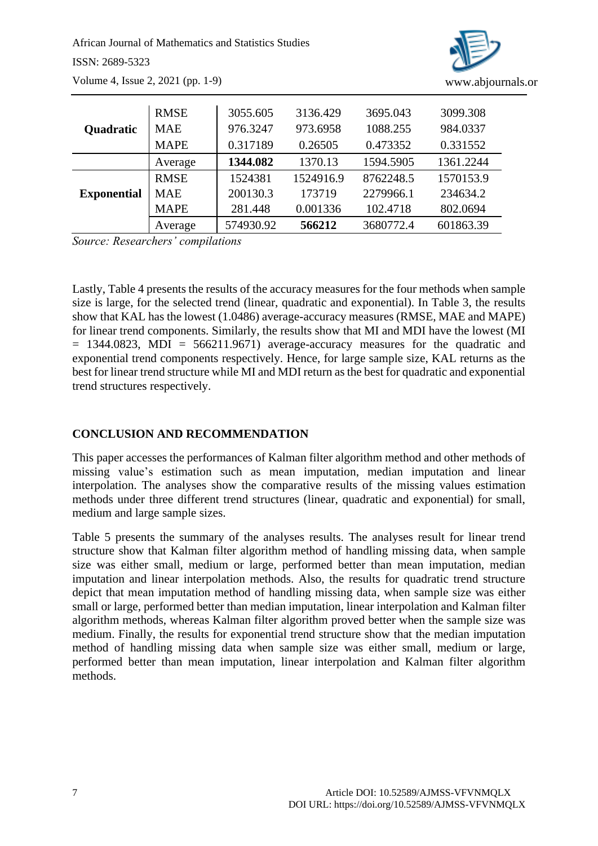African Journal of Mathematics and Statistics Studies ISSN: 2689-5323 Volume 4, Issue 2, 2021 (pp. 1-9)



|                    | <b>RMSE</b> | 3055.605  | 3136.429  | 3695.043  | 3099.308  |
|--------------------|-------------|-----------|-----------|-----------|-----------|
| <b>Quadratic</b>   | <b>MAE</b>  | 976.3247  | 973.6958  | 1088.255  | 984.0337  |
|                    | <b>MAPE</b> | 0.317189  | 0.26505   | 0.473352  | 0.331552  |
|                    | Average     | 1344.082  | 1370.13   | 1594.5905 | 1361.2244 |
|                    | <b>RMSE</b> | 1524381   | 1524916.9 | 8762248.5 | 1570153.9 |
| <b>Exponential</b> | <b>MAE</b>  | 200130.3  | 173719    | 2279966.1 | 234634.2  |
|                    | <b>MAPE</b> | 281.448   | 0.001336  | 102.4718  | 802.0694  |
|                    | Average     | 574930.92 | 566212    | 3680772.4 | 601863.39 |

*Source: Researchers' compilations*

Lastly, Table 4 presents the results of the accuracy measures for the four methods when sample size is large, for the selected trend (linear, quadratic and exponential). In Table 3, the results show that KAL has the lowest (1.0486) average-accuracy measures (RMSE, MAE and MAPE) for linear trend components. Similarly, the results show that MI and MDI have the lowest (MI  $= 1344.0823$ , MDI  $= 566211.9671$ ) average-accuracy measures for the quadratic and exponential trend components respectively. Hence, for large sample size, KAL returns as the best for linear trend structure while MI and MDI return as the best for quadratic and exponential trend structures respectively.

# **CONCLUSION AND RECOMMENDATION**

This paper accesses the performances of Kalman filter algorithm method and other methods of missing value's estimation such as mean imputation, median imputation and linear interpolation. The analyses show the comparative results of the missing values estimation methods under three different trend structures (linear, quadratic and exponential) for small, medium and large sample sizes.

Table 5 presents the summary of the analyses results. The analyses result for linear trend structure show that Kalman filter algorithm method of handling missing data, when sample size was either small, medium or large, performed better than mean imputation, median imputation and linear interpolation methods. Also, the results for quadratic trend structure depict that mean imputation method of handling missing data, when sample size was either small or large, performed better than median imputation, linear interpolation and Kalman filter algorithm methods, whereas Kalman filter algorithm proved better when the sample size was medium. Finally, the results for exponential trend structure show that the median imputation method of handling missing data when sample size was either small, medium or large, performed better than mean imputation, linear interpolation and Kalman filter algorithm methods.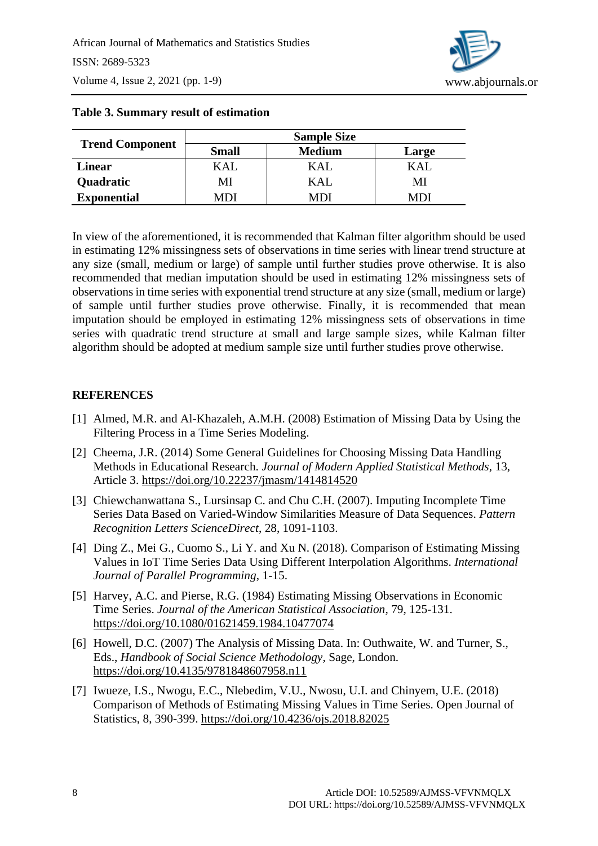

|                        | <b>Sample Size</b> |               |       |  |  |  |
|------------------------|--------------------|---------------|-------|--|--|--|
| <b>Trend Component</b> | <b>Small</b>       | <b>Medium</b> | Large |  |  |  |
| Linear                 | KAL                | KAL           | KAL   |  |  |  |
| Quadratic              | MI                 | KAL           | MI    |  |  |  |
| <b>Exponential</b>     | MDI                | иn            |       |  |  |  |

# **Table 3. Summary result of estimation**

In view of the aforementioned, it is recommended that Kalman filter algorithm should be used in estimating 12% missingness sets of observations in time series with linear trend structure at any size (small, medium or large) of sample until further studies prove otherwise. It is also recommended that median imputation should be used in estimating 12% missingness sets of observations in time series with exponential trend structure at any size (small, medium or large) of sample until further studies prove otherwise. Finally, it is recommended that mean imputation should be employed in estimating 12% missingness sets of observations in time series with quadratic trend structure at small and large sample sizes, while Kalman filter algorithm should be adopted at medium sample size until further studies prove otherwise.

# **REFERENCES**

- [1] Almed, M.R. and Al-Khazaleh, A.M.H. (2008) Estimation of Missing Data by Using the Filtering Process in a Time Series Modeling.
- [2] Cheema, J.R. (2014) Some General Guidelines for Choosing Missing Data Handling Methods in Educational Research. *Journal of Modern Applied Statistical Methods*, 13, Article 3. <https://doi.org/10.22237/jmasm/1414814520>
- [3] Chiewchanwattana S., Lursinsap C. and Chu C.H. (2007). Imputing Incomplete Time Series Data Based on Varied-Window Similarities Measure of Data Sequences. *Pattern Recognition Letters ScienceDirect*, 28, 1091-1103.
- [4] Ding Z., Mei G., Cuomo S., Li Y. and Xu N. (2018). Comparison of Estimating Missing Values in IoT Time Series Data Using Different Interpolation Algorithms. *International Journal of Parallel Programming*, 1-15.
- [5] Harvey, A.C. and Pierse, R.G. (1984) Estimating Missing Observations in Economic Time Series. *Journal of the American Statistical Association*, 79, 125-131. <https://doi.org/10.1080/01621459.1984.10477074>
- [6] Howell, D.C. (2007) The Analysis of Missing Data. In: Outhwaite, W. and Turner, S., Eds., *Handbook of Social Science Methodology*, Sage, London. <https://doi.org/10.4135/9781848607958.n11>
- [7] Iwueze, I.S., Nwogu, E.C., Nlebedim, V.U., Nwosu, U.I. and Chinyem, U.E. (2018) Comparison of Methods of Estimating Missing Values in Time Series. Open Journal of Statistics, 8, 390-399.<https://doi.org/10.4236/ojs.2018.82025>